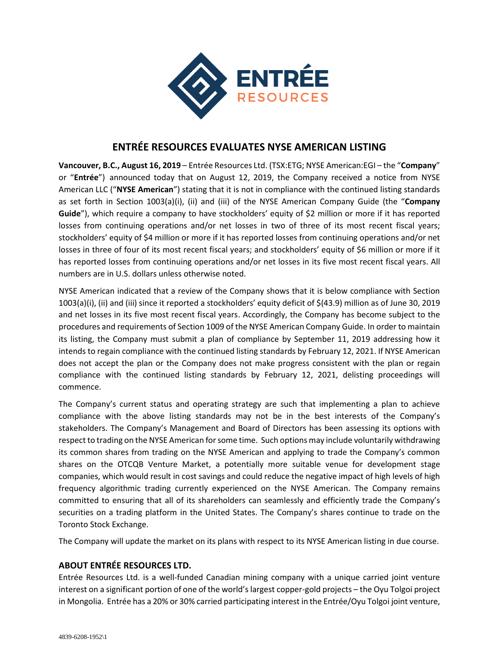

## **ENTRÉE RESOURCES EVALUATES NYSE AMERICAN LISTING**

**Vancouver, B.C., August 16, 2019** – Entrée Resources Ltd. (TSX:ETG; NYSE American:EGI – the "**Company**" or "**Entrée**") announced today that on August 12, 2019, the Company received a notice from NYSE American LLC ("**NYSE American**") stating that it is not in compliance with the continued listing standards as set forth in Section 1003(a)(i), (ii) and (iii) of the NYSE American Company Guide (the "**Company Guide**"), which require a company to have stockholders' equity of \$2 million or more if it has reported losses from continuing operations and/or net losses in two of three of its most recent fiscal years; stockholders' equity of \$4 million or more if it has reported losses from continuing operations and/or net losses in three of four of its most recent fiscal years; and stockholders' equity of \$6 million or more if it has reported losses from continuing operations and/or net losses in its five most recent fiscal years. All numbers are in U.S. dollars unless otherwise noted.

NYSE American indicated that a review of the Company shows that it is below compliance with Section 1003(a)(i), (ii) and (iii) since it reported a stockholders' equity deficit of \$(43.9) million as of June 30, 2019 and net losses in its five most recent fiscal years. Accordingly, the Company has become subject to the procedures and requirements of Section 1009 of the NYSE American Company Guide. In order to maintain its listing, the Company must submit a plan of compliance by September 11, 2019 addressing how it intends to regain compliance with the continued listing standards by February 12, 2021. If NYSE American does not accept the plan or the Company does not make progress consistent with the plan or regain compliance with the continued listing standards by February 12, 2021, delisting proceedings will commence.

The Company's current status and operating strategy are such that implementing a plan to achieve compliance with the above listing standards may not be in the best interests of the Company's stakeholders. The Company's Management and Board of Directors has been assessing its options with respect to trading on the NYSE American for some time. Such options may include voluntarily withdrawing its common shares from trading on the NYSE American and applying to trade the Company's common shares on the OTCQB Venture Market, a potentially more suitable venue for development stage companies, which would result in cost savings and could reduce the negative impact of high levels of high frequency algorithmic trading currently experienced on the NYSE American. The Company remains committed to ensuring that all of its shareholders can seamlessly and efficiently trade the Company's securities on a trading platform in the United States. The Company's shares continue to trade on the Toronto Stock Exchange.

The Company will update the market on its plans with respect to its NYSE American listing in due course.

## **ABOUT ENTRÉE RESOURCES LTD.**

Entrée Resources Ltd. is a well-funded Canadian mining company with a unique carried joint venture interest on a significant portion of one of the world's largest copper-gold projects – the Oyu Tolgoi project in Mongolia. Entrée has a 20% or 30% carried participating interest in the Entrée/Oyu Tolgoi joint venture,